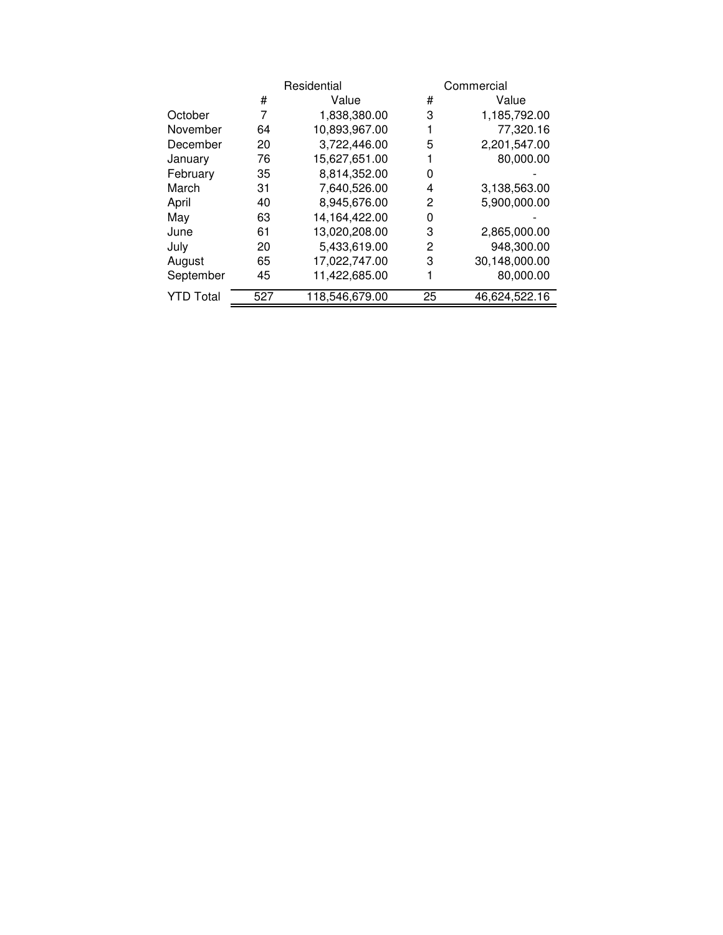|                  |     | Residential    |    | Commercial    |
|------------------|-----|----------------|----|---------------|
|                  | #   | Value          | #  | Value         |
| October          | 7   | 1,838,380.00   | 3  | 1,185,792.00  |
| November         | 64  | 10,893,967.00  |    | 77,320.16     |
| December         | 20  | 3,722,446.00   | 5  | 2,201,547.00  |
| January          | 76  | 15,627,651.00  |    | 80,000.00     |
| February         | 35  | 8,814,352.00   | 0  |               |
| March            | 31  | 7,640,526.00   | 4  | 3,138,563.00  |
| April            | 40  | 8,945,676.00   | 2  | 5,900,000.00  |
| May              | 63  | 14,164,422.00  | 0  |               |
| June             | 61  | 13,020,208.00  | 3  | 2,865,000.00  |
| July             | 20  | 5,433,619.00   | 2  | 948,300.00    |
| August           | 65  | 17,022,747.00  | 3  | 30,148,000.00 |
| September        | 45  | 11,422,685.00  |    | 80,000.00     |
| <b>YTD Total</b> | 527 | 118,546,679.00 | 25 | 46,624,522.16 |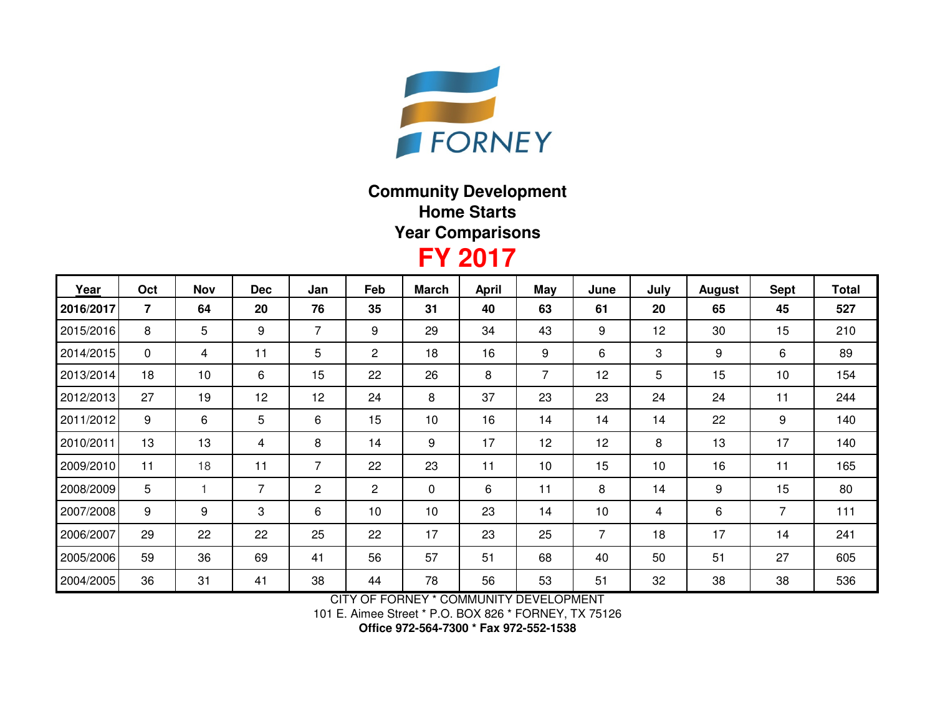

## **Community DevelopmentHome StartsYear Comparisons**

## **FY 2017**

| Year      | Oct            | <b>Nov</b> | <b>Dec</b> | Jan | Feb            | <b>March</b> | <b>April</b> | May            | June           | July | <b>August</b> | <b>Sept</b>    | <b>Total</b> |
|-----------|----------------|------------|------------|-----|----------------|--------------|--------------|----------------|----------------|------|---------------|----------------|--------------|
| 2016/2017 | $\overline{7}$ | 64         | 20         | 76  | 35             | 31           | 40           | 63             | 61             | 20   | 65            | 45             | 527          |
| 2015/2016 | 8              | 5          | 9          | 7   | 9              | 29           | 34           | 43             | 9              | 12   | 30            | 15             | 210          |
| 2014/2015 | $\mathbf 0$    | 4          | 11         | 5   | 2              | 18           | 16           | 9              | 6              | 3    | 9             | 6              | 89           |
| 2013/2014 | 18             | 10         | 6          | 15  | 22             | 26           | 8            | $\overline{7}$ | 12             | 5    | 15            | 10             | 154          |
| 2012/2013 | 27             | 19         | 12         | 12  | 24             | 8            | 37           | 23             | 23             | 24   | 24            | 11             | 244          |
| 2011/2012 | 9              | 6          | 5          | 6   | 15             | 10           | 16           | 14             | 14             | 14   | 22            | 9              | 140          |
| 2010/2011 | 13             | 13         | 4          | 8   | 14             | 9            | 17           | 12             | 12             | 8    | 13            | 17             | 140          |
| 2009/2010 | 11             | 18         | 11         | 7   | 22             | 23           | 11           | 10             | 15             | 10   | 16            | 11             | 165          |
| 2008/2009 | 5              |            | 7          | 2   | $\overline{2}$ | 0            | 6            | 11             | 8              | 14   | 9             | 15             | 80           |
| 2007/2008 | 9              | 9          | 3          | 6   | 10             | 10           | 23           | 14             | 10             | 4    | 6             | $\overline{7}$ | 111          |
| 2006/2007 | 29             | 22         | 22         | 25  | 22             | 17           | 23           | 25             | $\overline{7}$ | 18   | 17            | 14             | 241          |
| 2005/2006 | 59             | 36         | 69         | 41  | 56             | 57           | 51           | 68             | 40             | 50   | 51            | 27             | 605          |
| 2004/2005 | 36             | 31         | 41         | 38  | 44             | 78           | 56           | 53             | 51             | 32   | 38            | 38             | 536          |

CITY OF FORNEY \* COMMUNITY DEVELOPMENT

101 E. Aimee Street \* P.O. BOX 826 \* FORNEY, TX 75126

**Office 972-564-7300 \* Fax 972-552-1538**